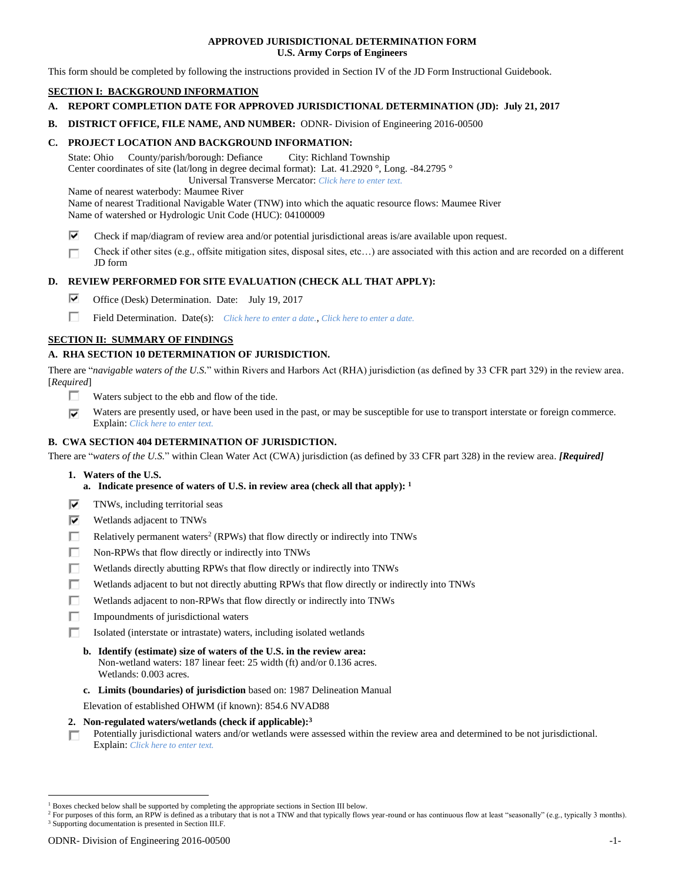### **APPROVED JURISDICTIONAL DETERMINATION FORM U.S. Army Corps of Engineers**

This form should be completed by following the instructions provided in Section IV of the JD Form Instructional Guidebook.

# **SECTION I: BACKGROUND INFORMATION**

- **A. REPORT COMPLETION DATE FOR APPROVED JURISDICTIONAL DETERMINATION (JD): July 21, 2017**
- **B. DISTRICT OFFICE, FILE NAME, AND NUMBER:** ODNR- Division of Engineering 2016-00500

## **C. PROJECT LOCATION AND BACKGROUND INFORMATION:**

State: Ohio County/parish/borough: Defiance City: Richland Township Center coordinates of site (lat/long in degree decimal format): Lat. 41.2920 °, Long. -84.2795 ° Universal Transverse Mercator: *Click here to enter text.*

Name of nearest waterbody: Maumee River

Name of nearest Traditional Navigable Water (TNW) into which the aquatic resource flows: Maumee River Name of watershed or Hydrologic Unit Code (HUC): 04100009

- ⊽ Check if map/diagram of review area and/or potential jurisdictional areas is/are available upon request.
- Check if other sites (e.g., offsite mitigation sites, disposal sites, etc…) are associated with this action and are recorded on a different п JD form

# **D. REVIEW PERFORMED FOR SITE EVALUATION (CHECK ALL THAT APPLY):**

- ⊽ Office (Desk) Determination. Date: July 19, 2017
- п Field Determination. Date(s): *Click here to enter a date.*, *Click here to enter a date.*

# **SECTION II: SUMMARY OF FINDINGS**

# **A. RHA SECTION 10 DETERMINATION OF JURISDICTION.**

There are "*navigable waters of the U.S.*" within Rivers and Harbors Act (RHA) jurisdiction (as defined by 33 CFR part 329) in the review area. [*Required*]

- п Waters subject to the ebb and flow of the tide.
- $\overline{\mathbf{v}}$ Waters are presently used, or have been used in the past, or may be susceptible for use to transport interstate or foreign commerce. Explain: *Click here to enter text.*

# **B. CWA SECTION 404 DETERMINATION OF JURISDICTION.**

There are "*waters of the U.S.*" within Clean Water Act (CWA) jurisdiction (as defined by 33 CFR part 328) in the review area. *[Required]*

- **1. Waters of the U.S.**
	- **a. Indicate presence of waters of U.S. in review area (check all that apply): 1**
- ⊽ TNWs, including territorial seas
- ⊽ Wetlands adjacent to TNWs
- п Relatively permanent waters<sup>2</sup> (RPWs) that flow directly or indirectly into TNWs
- Г Non-RPWs that flow directly or indirectly into TNWs
- П Wetlands directly abutting RPWs that flow directly or indirectly into TNWs
- п Wetlands adjacent to but not directly abutting RPWs that flow directly or indirectly into TNWs
- п Wetlands adjacent to non-RPWs that flow directly or indirectly into TNWs
- п Impoundments of jurisdictional waters
- П. Isolated (interstate or intrastate) waters, including isolated wetlands
	- **b. Identify (estimate) size of waters of the U.S. in the review area:** Non-wetland waters: 187 linear feet: 25 width (ft) and/or 0.136 acres. Wetlands: 0.003 acres.
	- **c. Limits (boundaries) of jurisdiction** based on: 1987 Delineation Manual

Elevation of established OHWM (if known): 854.6 NVAD88

- **2. Non-regulated waters/wetlands (check if applicable): 3**
- Potentially jurisdictional waters and/or wetlands were assessed within the review area and determined to be not jurisdictional. п. Explain: *Click here to enter text.*

<sup>1</sup> Boxes checked below shall be supported by completing the appropriate sections in Section III below.

<sup>&</sup>lt;sup>2</sup> For purposes of this form, an RPW is defined as a tributary that is not a TNW and that typically flows year-round or has continuous flow at least "seasonally" (e.g., typically 3 months). <sup>3</sup> Supporting documentation is presented in Section III.F.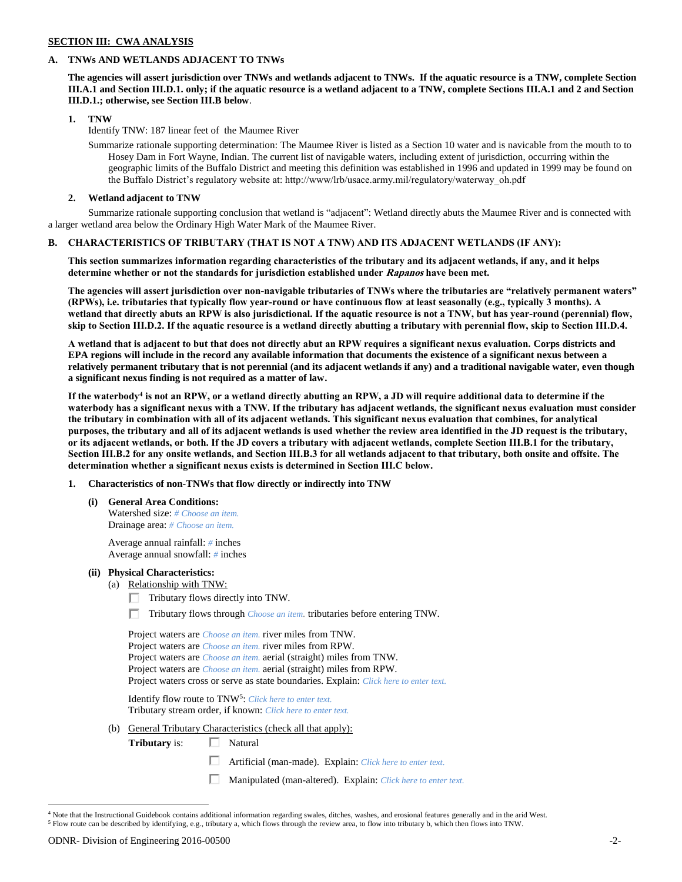### **SECTION III: CWA ANALYSIS**

## **A. TNWs AND WETLANDS ADJACENT TO TNWs**

**The agencies will assert jurisdiction over TNWs and wetlands adjacent to TNWs. If the aquatic resource is a TNW, complete Section III.A.1 and Section III.D.1. only; if the aquatic resource is a wetland adjacent to a TNW, complete Sections III.A.1 and 2 and Section III.D.1.; otherwise, see Section III.B below**.

### **1. TNW**

Identify TNW: 187 linear feet of the Maumee River

Summarize rationale supporting determination: The Maumee River is listed as a Section 10 water and is navicable from the mouth to to Hosey Dam in Fort Wayne, Indian. The current list of navigable waters, including extent of jurisdiction, occurring within the geographic limits of the Buffalo District and meeting this definition was established in 1996 and updated in 1999 may be found on the Buffalo District's regulatory website at: http://www/lrb/usace.army.mil/regulatory/waterway\_oh.pdf

## **2. Wetland adjacent to TNW**

Summarize rationale supporting conclusion that wetland is "adjacent": Wetland directly abuts the Maumee River and is connected with a larger wetland area below the Ordinary High Water Mark of the Maumee River.

### **B. CHARACTERISTICS OF TRIBUTARY (THAT IS NOT A TNW) AND ITS ADJACENT WETLANDS (IF ANY):**

**This section summarizes information regarding characteristics of the tributary and its adjacent wetlands, if any, and it helps determine whether or not the standards for jurisdiction established under Rapanos have been met.** 

**The agencies will assert jurisdiction over non-navigable tributaries of TNWs where the tributaries are "relatively permanent waters" (RPWs), i.e. tributaries that typically flow year-round or have continuous flow at least seasonally (e.g., typically 3 months). A wetland that directly abuts an RPW is also jurisdictional. If the aquatic resource is not a TNW, but has year-round (perennial) flow, skip to Section III.D.2. If the aquatic resource is a wetland directly abutting a tributary with perennial flow, skip to Section III.D.4.**

**A wetland that is adjacent to but that does not directly abut an RPW requires a significant nexus evaluation. Corps districts and EPA regions will include in the record any available information that documents the existence of a significant nexus between a relatively permanent tributary that is not perennial (and its adjacent wetlands if any) and a traditional navigable water, even though a significant nexus finding is not required as a matter of law.**

**If the waterbody<sup>4</sup> is not an RPW, or a wetland directly abutting an RPW, a JD will require additional data to determine if the waterbody has a significant nexus with a TNW. If the tributary has adjacent wetlands, the significant nexus evaluation must consider the tributary in combination with all of its adjacent wetlands. This significant nexus evaluation that combines, for analytical purposes, the tributary and all of its adjacent wetlands is used whether the review area identified in the JD request is the tributary, or its adjacent wetlands, or both. If the JD covers a tributary with adjacent wetlands, complete Section III.B.1 for the tributary, Section III.B.2 for any onsite wetlands, and Section III.B.3 for all wetlands adjacent to that tributary, both onsite and offsite. The determination whether a significant nexus exists is determined in Section III.C below.**

### **1. Characteristics of non-TNWs that flow directly or indirectly into TNW**

**(i) General Area Conditions:** Watershed size: *# Choose an item.* Drainage area: *# Choose an item.*

> Average annual rainfall: *#* inches Average annual snowfall: *#* inches

# **(ii) Physical Characteristics:**

- (a) Relationship with TNW:
	- $\Box$  Tributary flows directly into TNW.
	- Tributary flows through *Choose an item.* tributaries before entering TNW.

| Project waters are <i>Choose an item</i> , river miles from TNW.                      |
|---------------------------------------------------------------------------------------|
| Project waters are <i>Choose an item</i> . river miles from RPW.                      |
| Project waters are <i>Choose an item.</i> aerial (straight) miles from TNW.           |
| Project waters are <i>Choose an item.</i> aerial (straight) miles from RPW.           |
| Project waters cross or serve as state boundaries. Explain: Click here to enter text. |

Identify flow route to TNW<sup>5</sup>: *Click here to enter text.* Tributary stream order, if known: *Click here to enter text.*

(b) General Tributary Characteristics (check all that apply):

**Tributary** is: □ Natural

- П. Artificial (man-made). Explain: *Click here to enter text.*
- Manipulated (man-altered). Explain: *Click here to enter text.*

<sup>4</sup> Note that the Instructional Guidebook contains additional information regarding swales, ditches, washes, and erosional features generally and in the arid West. <sup>5</sup> Flow route can be described by identifying, e.g., tributary a, which flows through the review area, to flow into tributary b, which then flows into TNW.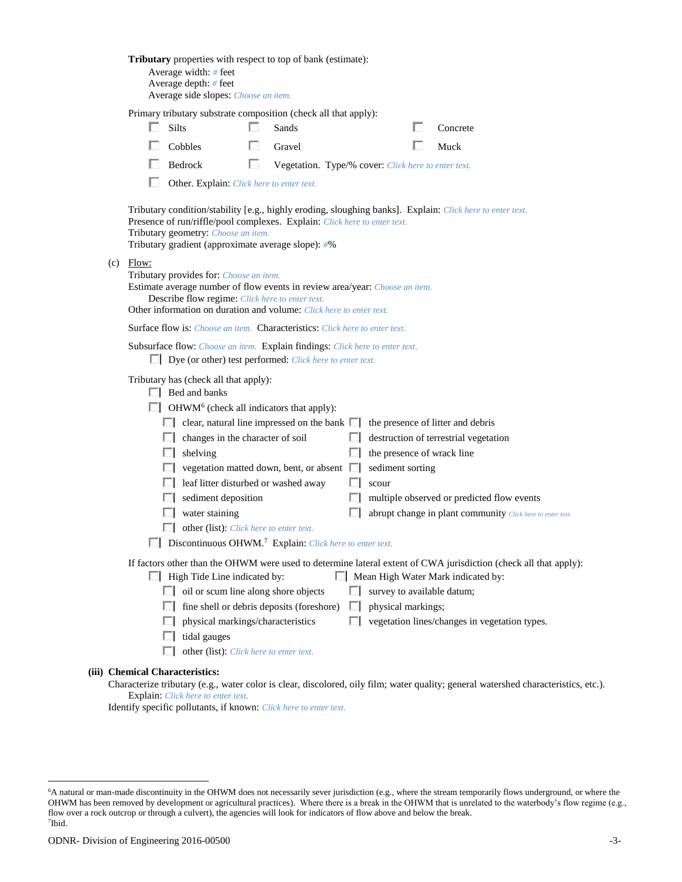|     |       | Tributary properties with respect to top of bank (estimate):<br>Average width: # feet<br>Average depth: # feet<br>Average side slopes: Choose an item.                                                                                                                                                                                                                                                                                                                                            |   |                                                     |   |                                                         |                                                                                                                                                                                                         |
|-----|-------|---------------------------------------------------------------------------------------------------------------------------------------------------------------------------------------------------------------------------------------------------------------------------------------------------------------------------------------------------------------------------------------------------------------------------------------------------------------------------------------------------|---|-----------------------------------------------------|---|---------------------------------------------------------|---------------------------------------------------------------------------------------------------------------------------------------------------------------------------------------------------------|
|     |       | Primary tributary substrate composition (check all that apply):<br>Silts<br>Cobbles                                                                                                                                                                                                                                                                                                                                                                                                               |   | Sands<br>Gravel                                     |   |                                                         | Concrete<br>Muck                                                                                                                                                                                        |
|     |       | Bedrock<br>Other. Explain: Click here to enter text.                                                                                                                                                                                                                                                                                                                                                                                                                                              | U | Vegetation. Type/% cover: Click here to enter text. |   |                                                         |                                                                                                                                                                                                         |
| (c) | Flow: | Presence of run/riffle/pool complexes. Explain: Click here to enter text.<br>Tributary geometry: Choose an item.<br>Tributary gradient (approximate average slope): #%                                                                                                                                                                                                                                                                                                                            |   |                                                     |   |                                                         | Tributary condition/stability [e.g., highly eroding, sloughing banks]. Explain: Click here to enter text.                                                                                               |
|     |       | Tributary provides for: Choose an item.<br>Estimate average number of flow events in review area/year: Choose an item.<br>Describe flow regime: Click here to enter text.<br>Other information on duration and volume: Click here to enter text.                                                                                                                                                                                                                                                  |   |                                                     |   |                                                         |                                                                                                                                                                                                         |
|     |       | <b>Surface flow is:</b> Choose an item. <b>Characteristics:</b> Click here to enter text.                                                                                                                                                                                                                                                                                                                                                                                                         |   |                                                     |   |                                                         |                                                                                                                                                                                                         |
|     |       | Subsurface flow: Choose an item. Explain findings: Click here to enter text.<br>Dye (or other) test performed: Click here to enter text.                                                                                                                                                                                                                                                                                                                                                          |   |                                                     |   |                                                         |                                                                                                                                                                                                         |
|     |       | Tributary has (check all that apply):<br>$\Box$ Bed and banks<br>$\Box$ OHWM <sup>6</sup> (check all indicators that apply):<br>$\Box$ clear, natural line impressed on the bank $\Box$ the presence of litter and debris<br>$\Box$ changes in the character of soil<br>$\Box$ shelving<br>leaf litter disturbed or washed away<br>sediment deposition<br>water staining<br>other (list): <i>Click here to enter text.</i><br>Discontinuous OHWM. <sup>7</sup> Explain: Click here to enter text. |   | vegetation matted down, bent, or absent             |   | the presence of wrack line<br>sediment sorting<br>scour | destruction of terrestrial vegetation<br>multiple observed or predicted flow events<br>abrupt change in plant community Click here to enter text.                                                       |
|     |       | $\Box$ High Tide Line indicated by:<br>oil or scum line along shore objects<br>physical markings/characteristics<br>tidal gauges<br>other (list): Click here to enter text.                                                                                                                                                                                                                                                                                                                       |   | fine shell or debris deposits (foreshore)           | ш | survey to available datum;<br>physical markings;        | If factors other than the OHWM were used to determine lateral extent of CWA jurisdiction (check all that apply):<br>Mean High Water Mark indicated by:<br>vegetation lines/changes in vegetation types. |
|     |       | (iii) Chemical Characteristics:                                                                                                                                                                                                                                                                                                                                                                                                                                                                   |   |                                                     |   |                                                         |                                                                                                                                                                                                         |

Characterize tributary (e.g., water color is clear, discolored, oily film; water quality; general watershed characteristics, etc.). Explain: *Click here to enter text.*

Identify specific pollutants, if known: *Click here to enter text.*

<sup>6</sup>A natural or man-made discontinuity in the OHWM does not necessarily sever jurisdiction (e.g., where the stream temporarily flows underground, or where the OHWM has been removed by development or agricultural practices). Where there is a break in the OHWM that is unrelated to the waterbody's flow regime (e.g., flow over a rock outcrop or through a culvert), the agencies will look for indicators of flow above and below the break. 7 Ibid.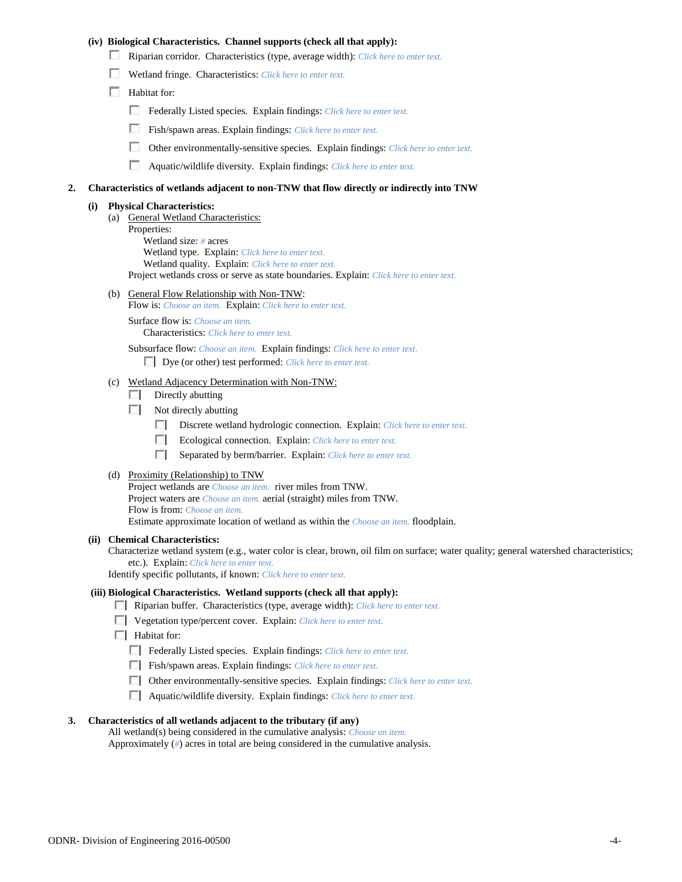### **(iv) Biological Characteristics. Channel supports (check all that apply):**

- Riparian corridor. Characteristics (type, average width): *Click here to enter text.*
- Wetland fringe. Characteristics: *Click here to enter text.*
- $\Box$  Habitat for:
	- Federally Listed species. Explain findings: *Click here to enter text.*
	- Fish/spawn areas. Explain findings: *Click here to enter text.*
	- Other environmentally-sensitive species. Explain findings: *Click here to enter text.*
	- П. Aquatic/wildlife diversity. Explain findings: *Click here to enter text.*

#### **2. Characteristics of wetlands adjacent to non-TNW that flow directly or indirectly into TNW**

#### **(i) Physical Characteristics:**

- (a) General Wetland Characteristics:
	- Properties:

Wetland size: *#* acres Wetland type. Explain: *Click here to enter text.*

Wetland quality. Explain: *Click here to enter text.*

Project wetlands cross or serve as state boundaries. Explain: *Click here to enter text.*

(b) General Flow Relationship with Non-TNW: Flow is: *Choose an item.* Explain: *Click here to enter text.*

Surface flow is: *Choose an item.* Characteristics: *Click here to enter text.*

Subsurface flow: *Choose an item.* Explain findings: *Click here to enter text.*

Dye (or other) test performed: *Click here to enter text.*

#### (c) Wetland Adjacency Determination with Non-TNW:

- $\Box$  Directly abutting
- Not directly abutting
	- Discrete wetland hydrologic connection. Explain: *Click here to enter text.*
	- $\Box$ Ecological connection. Explain: *Click here to enter text.*
	- $\Box$ Separated by berm/barrier. Explain: *Click here to enter text.*
- (d) Proximity (Relationship) to TNW

Project wetlands are *Choose an item.* river miles from TNW. Project waters are *Choose an item.* aerial (straight) miles from TNW. Flow is from: *Choose an item.* Estimate approximate location of wetland as within the *Choose an item.* floodplain.

#### **(ii) Chemical Characteristics:**

Characterize wetland system (e.g., water color is clear, brown, oil film on surface; water quality; general watershed characteristics; etc.). Explain: *Click here to enter text.*

Identify specific pollutants, if known: *Click here to enter text.*

#### **(iii) Biological Characteristics. Wetland supports (check all that apply):**

- Riparian buffer. Characteristics (type, average width): *Click here to enter text.*
- Vegetation type/percent cover. Explain: *Click here to enter text.*
- $\Box$  Habitat for:
	- Federally Listed species. Explain findings: *Click here to enter text*.
	- Fish/spawn areas. Explain findings: *Click here to enter text*.
	- Other environmentally-sensitive species. Explain findings: *Click here to enter text.*
	- Aquatic/wildlife diversity. Explain findings: *Click here to enter text.*

#### **3. Characteristics of all wetlands adjacent to the tributary (if any)**

All wetland(s) being considered in the cumulative analysis: *Choose an item.* Approximately (*#*) acres in total are being considered in the cumulative analysis.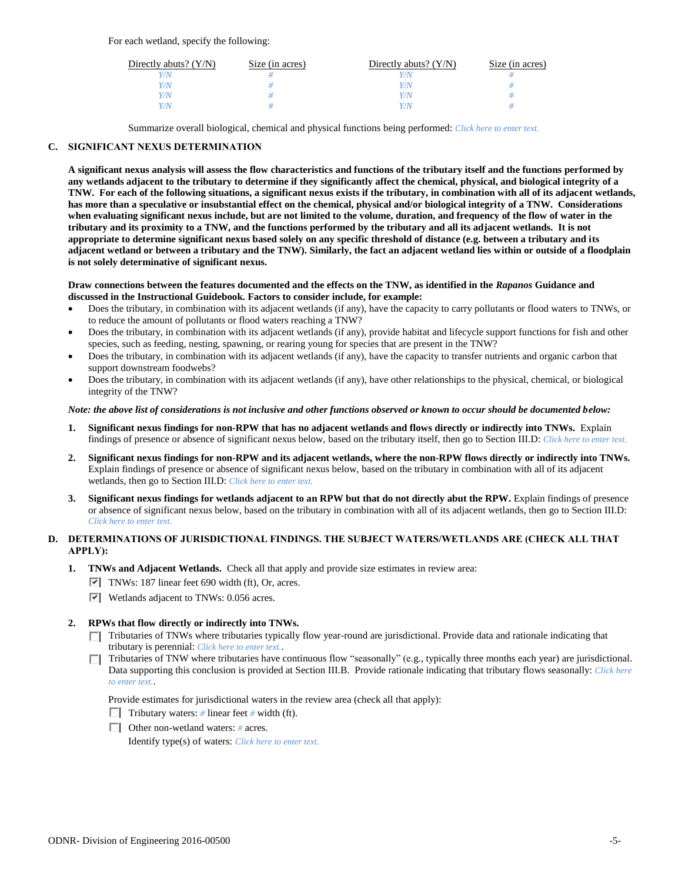For each wetland, specify the following:

| Directly abuts? $(Y/N)$ | Size (in acres) | Directly abuts? $(Y/N)$ | Size (in acres) |
|-------------------------|-----------------|-------------------------|-----------------|
|                         |                 |                         |                 |
| V/N                     |                 | V/N                     |                 |
| V/N                     |                 | Y/N                     |                 |
|                         |                 | Y/N                     |                 |

Summarize overall biological, chemical and physical functions being performed: *Click here to enter text.*

# **C. SIGNIFICANT NEXUS DETERMINATION**

**A significant nexus analysis will assess the flow characteristics and functions of the tributary itself and the functions performed by any wetlands adjacent to the tributary to determine if they significantly affect the chemical, physical, and biological integrity of a TNW. For each of the following situations, a significant nexus exists if the tributary, in combination with all of its adjacent wetlands, has more than a speculative or insubstantial effect on the chemical, physical and/or biological integrity of a TNW. Considerations when evaluating significant nexus include, but are not limited to the volume, duration, and frequency of the flow of water in the tributary and its proximity to a TNW, and the functions performed by the tributary and all its adjacent wetlands. It is not appropriate to determine significant nexus based solely on any specific threshold of distance (e.g. between a tributary and its adjacent wetland or between a tributary and the TNW). Similarly, the fact an adjacent wetland lies within or outside of a floodplain is not solely determinative of significant nexus.** 

#### **Draw connections between the features documented and the effects on the TNW, as identified in the** *Rapanos* **Guidance and discussed in the Instructional Guidebook. Factors to consider include, for example:**

- Does the tributary, in combination with its adjacent wetlands (if any), have the capacity to carry pollutants or flood waters to TNWs, or to reduce the amount of pollutants or flood waters reaching a TNW?
- Does the tributary, in combination with its adjacent wetlands (if any), provide habitat and lifecycle support functions for fish and other species, such as feeding, nesting, spawning, or rearing young for species that are present in the TNW?
- Does the tributary, in combination with its adjacent wetlands (if any), have the capacity to transfer nutrients and organic carbon that support downstream foodwebs?
- Does the tributary, in combination with its adjacent wetlands (if any), have other relationships to the physical, chemical, or biological integrity of the TNW?

### *Note: the above list of considerations is not inclusive and other functions observed or known to occur should be documented below:*

- **1. Significant nexus findings for non-RPW that has no adjacent wetlands and flows directly or indirectly into TNWs.** Explain findings of presence or absence of significant nexus below, based on the tributary itself, then go to Section III.D: *Click here to enter text.*
- **2. Significant nexus findings for non-RPW and its adjacent wetlands, where the non-RPW flows directly or indirectly into TNWs.**  Explain findings of presence or absence of significant nexus below, based on the tributary in combination with all of its adjacent wetlands, then go to Section III.D: *Click here to enter text.*
- **3. Significant nexus findings for wetlands adjacent to an RPW but that do not directly abut the RPW.** Explain findings of presence or absence of significant nexus below, based on the tributary in combination with all of its adjacent wetlands, then go to Section III.D: *Click here to enter text.*

# **D. DETERMINATIONS OF JURISDICTIONAL FINDINGS. THE SUBJECT WATERS/WETLANDS ARE (CHECK ALL THAT APPLY):**

- **1. TNWs and Adjacent Wetlands.** Check all that apply and provide size estimates in review area:
	- TNWs: 187 linear feet 690 width (ft), Or, acres.
	- Wetlands adjacent to TNWs: 0.056 acres.

#### **2. RPWs that flow directly or indirectly into TNWs.**

- Tributaries of TNWs where tributaries typically flow year-round are jurisdictional. Provide data and rationale indicating that tributary is perennial: *Click here to enter text.*.
- Tributaries of TNW where tributaries have continuous flow "seasonally" (e.g., typically three months each year) are jurisdictional. Data supporting this conclusion is provided at Section III.B. Provide rationale indicating that tributary flows seasonally: *Click here to enter text.*.

Provide estimates for jurisdictional waters in the review area (check all that apply):

- **Tributary waters:** # linear feet # width (ft).
- Other non-wetland waters: *#* acres.

Identify type(s) of waters: *Click here to enter text.*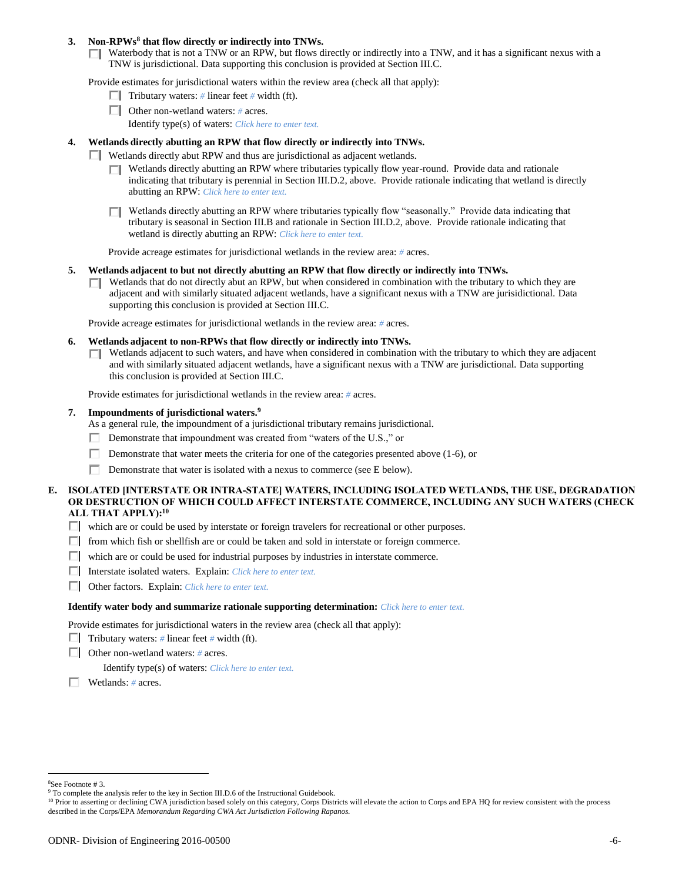### **3. Non-RPWs<sup>8</sup> that flow directly or indirectly into TNWs.**

 $\Box$  Waterbody that is not a TNW or an RPW, but flows directly or indirectly into a TNW, and it has a significant nexus with a TNW is jurisdictional. Data supporting this conclusion is provided at Section III.C.

Provide estimates for jurisdictional waters within the review area (check all that apply):

- **Tributary waters:** # linear feet # width (ft).
- Other non-wetland waters: *#* acres.
	- Identify type(s) of waters: *Click here to enter text.*

### **4. Wetlands directly abutting an RPW that flow directly or indirectly into TNWs.**

- Wetlands directly abut RPW and thus are jurisdictional as adjacent wetlands.
	- $\Box$  Wetlands directly abutting an RPW where tributaries typically flow year-round. Provide data and rationale indicating that tributary is perennial in Section III.D.2, above. Provide rationale indicating that wetland is directly abutting an RPW: *Click here to enter text.*
	- $\Box$  Wetlands directly abutting an RPW where tributaries typically flow "seasonally." Provide data indicating that tributary is seasonal in Section III.B and rationale in Section III.D.2, above. Provide rationale indicating that wetland is directly abutting an RPW: *Click here to enter text.*

Provide acreage estimates for jurisdictional wetlands in the review area: *#* acres.

- **5. Wetlands adjacent to but not directly abutting an RPW that flow directly or indirectly into TNWs.**
	- $\Box$  Wetlands that do not directly abut an RPW, but when considered in combination with the tributary to which they are adjacent and with similarly situated adjacent wetlands, have a significant nexus with a TNW are jurisidictional. Data supporting this conclusion is provided at Section III.C.

Provide acreage estimates for jurisdictional wetlands in the review area: *#* acres.

- **6. Wetlands adjacent to non-RPWs that flow directly or indirectly into TNWs.** 
	- $\Box$  Wetlands adjacent to such waters, and have when considered in combination with the tributary to which they are adjacent and with similarly situated adjacent wetlands, have a significant nexus with a TNW are jurisdictional. Data supporting this conclusion is provided at Section III.C.

Provide estimates for jurisdictional wetlands in the review area: *#* acres.

#### **7. Impoundments of jurisdictional waters. 9**

As a general rule, the impoundment of a jurisdictional tributary remains jurisdictional.

- Demonstrate that impoundment was created from "waters of the U.S.," or
- Demonstrate that water meets the criteria for one of the categories presented above (1-6), or
- П. Demonstrate that water is isolated with a nexus to commerce (see E below).

### **E. ISOLATED [INTERSTATE OR INTRA-STATE] WATERS, INCLUDING ISOLATED WETLANDS, THE USE, DEGRADATION OR DESTRUCTION OF WHICH COULD AFFECT INTERSTATE COMMERCE, INCLUDING ANY SUCH WATERS (CHECK ALL THAT APPLY):<sup>10</sup>**

- $\Box$  which are or could be used by interstate or foreign travelers for recreational or other purposes.
- $\Box$  from which fish or shellfish are or could be taken and sold in interstate or foreign commerce.
- $\Box$  which are or could be used for industrial purposes by industries in interstate commerce.
- Interstate isolated waters.Explain: *Click here to enter text.*
- Other factors.Explain: *Click here to enter text.*

#### **Identify water body and summarize rationale supporting determination:** *Click here to enter text.*

Provide estimates for jurisdictional waters in the review area (check all that apply):

- Tributary waters:  $\#$  linear feet  $\#$  width (ft).
- Other non-wetland waters: *#* acres.

Identify type(s) of waters: *Click here to enter text.*

Wetlands: *#* acres.

<sup>8</sup>See Footnote # 3.

<sup>&</sup>lt;sup>9</sup> To complete the analysis refer to the key in Section III.D.6 of the Instructional Guidebook.

<sup>&</sup>lt;sup>10</sup> Prior to asserting or declining CWA jurisdiction based solely on this category, Corps Districts will elevate the action to Corps and EPA HQ for review consistent with the process described in the Corps/EPA *Memorandum Regarding CWA Act Jurisdiction Following Rapanos.*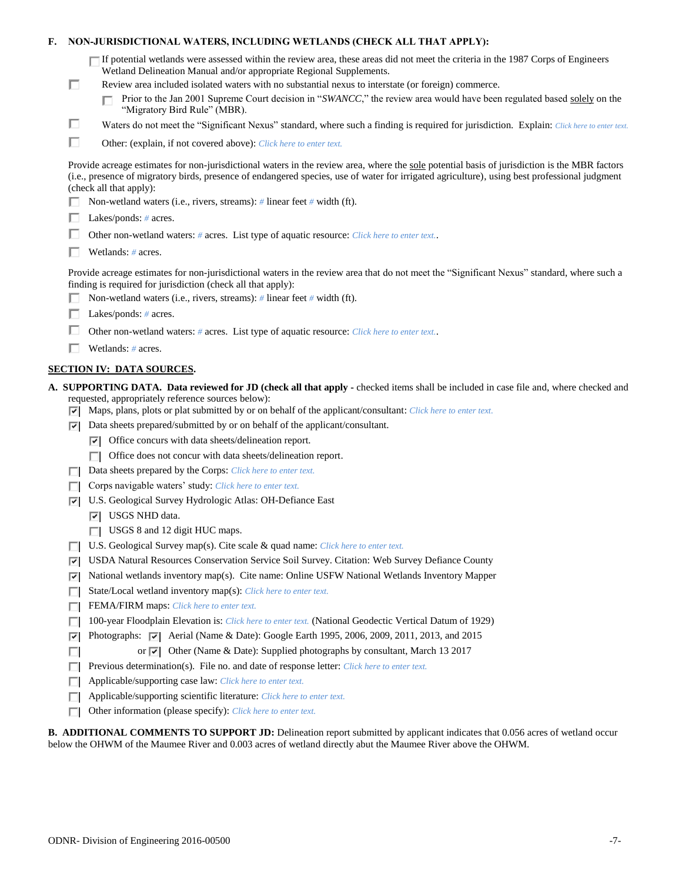| F. |     | NON-JURISDICTIONAL WATERS, INCLUDING WETLANDS (CHECK ALL THAT APPLY):                                                                                                                                                                                                                                                                                                                                                                     |
|----|-----|-------------------------------------------------------------------------------------------------------------------------------------------------------------------------------------------------------------------------------------------------------------------------------------------------------------------------------------------------------------------------------------------------------------------------------------------|
|    | □   | If potential wetlands were assessed within the review area, these areas did not meet the criteria in the 1987 Corps of Engineers<br>Wetland Delineation Manual and/or appropriate Regional Supplements.<br>Review area included isolated waters with no substantial nexus to interstate (or foreign) commerce.<br>Prior to the Jan 2001 Supreme Court decision in "SWANCC," the review area would have been regulated based solely on the |
|    |     | "Migratory Bird Rule" (MBR).                                                                                                                                                                                                                                                                                                                                                                                                              |
|    | □   | Waters do not meet the "Significant Nexus" standard, where such a finding is required for jurisdiction. Explain: Click here to enter text.                                                                                                                                                                                                                                                                                                |
|    | п   | Other: (explain, if not covered above): Click here to enter text.                                                                                                                                                                                                                                                                                                                                                                         |
|    |     | Provide acreage estimates for non-jurisdictional waters in the review area, where the sole potential basis of jurisdiction is the MBR factors<br>(i.e., presence of migratory birds, presence of endangered species, use of water for irrigated agriculture), using best professional judgment<br>(check all that apply):                                                                                                                 |
|    |     | Non-wetland waters (i.e., rivers, streams): # linear feet # width (ft).                                                                                                                                                                                                                                                                                                                                                                   |
|    |     | Lakes/ponds: $# \, \text{acres.}$                                                                                                                                                                                                                                                                                                                                                                                                         |
|    |     | Other non-wetland waters: # acres. List type of aquatic resource: Click here to enter text                                                                                                                                                                                                                                                                                                                                                |
|    |     | Wetlands: $#$ acres.                                                                                                                                                                                                                                                                                                                                                                                                                      |
|    |     | Provide acreage estimates for non-jurisdictional waters in the review area that do not meet the "Significant Nexus" standard, where such a<br>finding is required for jurisdiction (check all that apply):<br>Non-wetland waters (i.e., rivers, streams): $\#$ linear feet $\#$ width (ft).                                                                                                                                               |
|    |     | Lakes/ponds: $# \, \text{acres.}$                                                                                                                                                                                                                                                                                                                                                                                                         |
|    |     | Other non-wetland waters: # acres. List type of aquatic resource: Click here to enter text                                                                                                                                                                                                                                                                                                                                                |
|    |     | Wetlands: $#$ acres.                                                                                                                                                                                                                                                                                                                                                                                                                      |
|    |     |                                                                                                                                                                                                                                                                                                                                                                                                                                           |
|    |     | <b>SECTION IV: DATA SOURCES.</b>                                                                                                                                                                                                                                                                                                                                                                                                          |
|    |     |                                                                                                                                                                                                                                                                                                                                                                                                                                           |
|    | 罓   | A. SUPPORTING DATA. Data reviewed for JD (check all that apply - checked items shall be included in case file and, where checked and<br>requested, appropriately reference sources below):<br>Maps, plans, plots or plat submitted by or on behalf of the applicant/consultant: Click here to enter text.                                                                                                                                 |
|    | ल।  | Data sheets prepared/submitted by or on behalf of the applicant/consultant.                                                                                                                                                                                                                                                                                                                                                               |
|    |     | $\triangleright$ Office concurs with data sheets/delineation report.                                                                                                                                                                                                                                                                                                                                                                      |
|    |     | $\Box$ Office does not concur with data sheets/delineation report.                                                                                                                                                                                                                                                                                                                                                                        |
|    |     | Data sheets prepared by the Corps: Click here to enter text.                                                                                                                                                                                                                                                                                                                                                                              |
|    |     | Corps navigable waters' study: Click here to enter text.                                                                                                                                                                                                                                                                                                                                                                                  |
|    | 罓   | U.S. Geological Survey Hydrologic Atlas: OH-Defiance East                                                                                                                                                                                                                                                                                                                                                                                 |
|    |     | $ \overline{v} $ USGS NHD data.                                                                                                                                                                                                                                                                                                                                                                                                           |
|    |     | USGS 8 and 12 digit HUC maps.                                                                                                                                                                                                                                                                                                                                                                                                             |
|    |     | U.S. Geological Survey map(s). Cite scale & quad name: Click here to enter text.                                                                                                                                                                                                                                                                                                                                                          |
|    | ∣∽∣ | USDA Natural Resources Conservation Service Soil Survey. Citation: Web Survey Defiance County                                                                                                                                                                                                                                                                                                                                             |
|    | ⊽   | National wetlands inventory map(s). Cite name: Online USFW National Wetlands Inventory Mapper                                                                                                                                                                                                                                                                                                                                             |
|    | П   | State/Local wetland inventory map(s): Click here to enter text.                                                                                                                                                                                                                                                                                                                                                                           |
|    |     | FEMA/FIRM maps: Click here to enter text.                                                                                                                                                                                                                                                                                                                                                                                                 |
|    |     | 100-year Floodplain Elevation is: Click here to enter text. (National Geodectic Vertical Datum of 1929)                                                                                                                                                                                                                                                                                                                                   |
|    | ⊽   | Photographs: $\sqrt{\phantom{a}}$ Aerial (Name & Date): Google Earth 1995, 2006, 2009, 2011, 2013, and 2015                                                                                                                                                                                                                                                                                                                               |
|    |     | or $\overline{ \mathbf{v} }$ Other (Name & Date): Supplied photographs by consultant, March 13 2017                                                                                                                                                                                                                                                                                                                                       |
|    | п   | Previous determination(s). File no. and date of response letter: Click here to enter text.                                                                                                                                                                                                                                                                                                                                                |
|    |     | Applicable/supporting case law: Click here to enter text.                                                                                                                                                                                                                                                                                                                                                                                 |
|    | Е   | Applicable/supporting scientific literature: Click here to enter text.<br>Other information (please specify): Click here to enter text.                                                                                                                                                                                                                                                                                                   |

**B. ADDITIONAL COMMENTS TO SUPPORT JD:** Delineation report submitted by applicant indicates that 0.056 acres of wetland occur below the OHWM of the Maumee River and 0.003 acres of wetland directly abut the Maumee River above the OHWM.